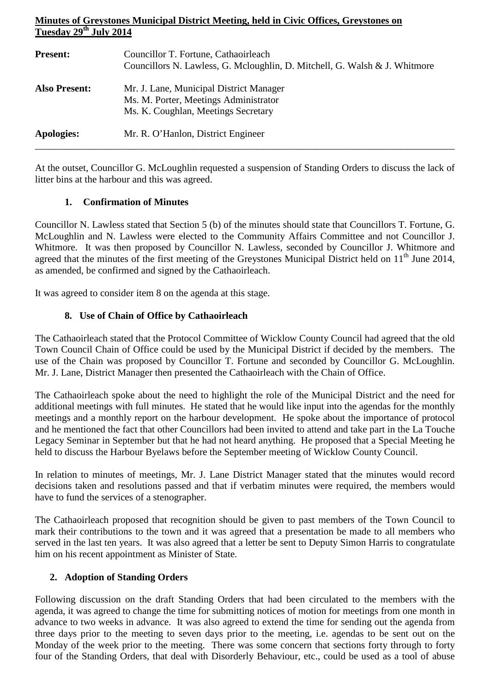# **Minutes of Greystones Municipal District Meeting, held in Civic Offices, Greystones on Tuesday 29th July 2014**

| <b>Present:</b>      | Councillor T. Fortune, Cathaoirleach<br>Councillors N. Lawless, G. Mcloughlin, D. Mitchell, G. Walsh & J. Whitmore      |
|----------------------|-------------------------------------------------------------------------------------------------------------------------|
| <b>Also Present:</b> | Mr. J. Lane, Municipal District Manager<br>Ms. M. Porter, Meetings Administrator<br>Ms. K. Coughlan, Meetings Secretary |
| Apologies:           | Mr. R. O'Hanlon, District Engineer                                                                                      |

At the outset, Councillor G. McLoughlin requested a suspension of Standing Orders to discuss the lack of litter bins at the harbour and this was agreed.

\_\_\_\_\_\_\_\_\_\_\_\_\_\_\_\_\_\_\_\_\_\_\_\_\_\_\_\_\_\_\_\_\_\_\_\_\_\_\_\_\_\_\_\_\_\_\_\_\_\_\_\_\_\_\_\_\_\_\_\_\_\_\_\_\_\_\_\_\_\_\_\_\_\_\_\_\_\_\_\_\_\_\_\_\_

## **1. Confirmation of Minutes**

Councillor N. Lawless stated that Section 5 (b) of the minutes should state that Councillors T. Fortune, G. McLoughlin and N. Lawless were elected to the Community Affairs Committee and not Councillor J. Whitmore. It was then proposed by Councillor N. Lawless, seconded by Councillor J. Whitmore and agreed that the minutes of the first meeting of the Greystones Municipal District held on  $11<sup>th</sup>$  June 2014, as amended, be confirmed and signed by the Cathaoirleach.

It was agreed to consider item 8 on the agenda at this stage.

## **8. Use of Chain of Office by Cathaoirleach**

The Cathaoirleach stated that the Protocol Committee of Wicklow County Council had agreed that the old Town Council Chain of Office could be used by the Municipal District if decided by the members. The use of the Chain was proposed by Councillor T. Fortune and seconded by Councillor G. McLoughlin. Mr. J. Lane, District Manager then presented the Cathaoirleach with the Chain of Office.

The Cathaoirleach spoke about the need to highlight the role of the Municipal District and the need for additional meetings with full minutes. He stated that he would like input into the agendas for the monthly meetings and a monthly report on the harbour development. He spoke about the importance of protocol and he mentioned the fact that other Councillors had been invited to attend and take part in the La Touche Legacy Seminar in September but that he had not heard anything. He proposed that a Special Meeting he held to discuss the Harbour Byelaws before the September meeting of Wicklow County Council.

In relation to minutes of meetings, Mr. J. Lane District Manager stated that the minutes would record decisions taken and resolutions passed and that if verbatim minutes were required, the members would have to fund the services of a stenographer.

The Cathaoirleach proposed that recognition should be given to past members of the Town Council to mark their contributions to the town and it was agreed that a presentation be made to all members who served in the last ten years. It was also agreed that a letter be sent to Deputy Simon Harris to congratulate him on his recent appointment as Minister of State.

# **2. Adoption of Standing Orders**

Following discussion on the draft Standing Orders that had been circulated to the members with the agenda, it was agreed to change the time for submitting notices of motion for meetings from one month in advance to two weeks in advance. It was also agreed to extend the time for sending out the agenda from three days prior to the meeting to seven days prior to the meeting, i.e. agendas to be sent out on the Monday of the week prior to the meeting. There was some concern that sections forty through to forty four of the Standing Orders, that deal with Disorderly Behaviour, etc., could be used as a tool of abuse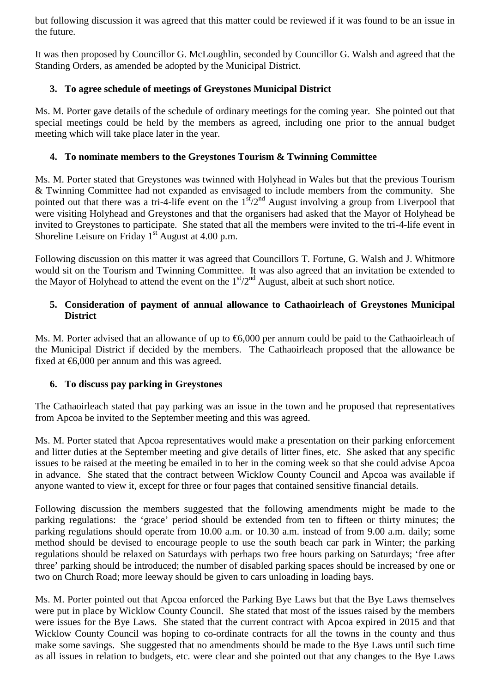but following discussion it was agreed that this matter could be reviewed if it was found to be an issue in the future.

It was then proposed by Councillor G. McLoughlin, seconded by Councillor G. Walsh and agreed that the Standing Orders, as amended be adopted by the Municipal District.

# **3. To agree schedule of meetings of Greystones Municipal District**

Ms. M. Porter gave details of the schedule of ordinary meetings for the coming year. She pointed out that special meetings could be held by the members as agreed, including one prior to the annual budget meeting which will take place later in the year.

### **4. To nominate members to the Greystones Tourism & Twinning Committee**

Ms. M. Porter stated that Greystones was twinned with Holyhead in Wales but that the previous Tourism & Twinning Committee had not expanded as envisaged to include members from the community. She pointed out that there was a tri-4-life event on the  $1<sup>st</sup>/2<sup>nd</sup>$  August involving a group from Liverpool that were visiting Holyhead and Greystones and that the organisers had asked that the Mayor of Holyhead be invited to Greystones to participate. She stated that all the members were invited to the tri-4-life event in Shoreline Leisure on Friday  $1<sup>st</sup>$  August at 4.00 p.m.

Following discussion on this matter it was agreed that Councillors T. Fortune, G. Walsh and J. Whitmore would sit on the Tourism and Twinning Committee. It was also agreed that an invitation be extended to the Mayor of Holyhead to attend the event on the  $1<sup>st</sup>/2<sup>nd</sup>$  August, albeit at such short notice.

### **5. Consideration of payment of annual allowance to Cathaoirleach of Greystones Municipal District**

Ms. M. Porter advised that an allowance of up to €6,000 per annum could be paid to the Cathaoirleach of the Municipal District if decided by the members. The Cathaoirleach proposed that the allowance be fixed at  $\epsilon$ 6,000 per annum and this was agreed.

### **6. To discuss pay parking in Greystones**

The Cathaoirleach stated that pay parking was an issue in the town and he proposed that representatives from Apcoa be invited to the September meeting and this was agreed.

Ms. M. Porter stated that Apcoa representatives would make a presentation on their parking enforcement and litter duties at the September meeting and give details of litter fines, etc. She asked that any specific issues to be raised at the meeting be emailed in to her in the coming week so that she could advise Apcoa in advance. She stated that the contract between Wicklow County Council and Apcoa was available if anyone wanted to view it, except for three or four pages that contained sensitive financial details.

Following discussion the members suggested that the following amendments might be made to the parking regulations: the 'grace' period should be extended from ten to fifteen or thirty minutes; the parking regulations should operate from 10.00 a.m. or 10.30 a.m. instead of from 9.00 a.m. daily; some method should be devised to encourage people to use the south beach car park in Winter; the parking regulations should be relaxed on Saturdays with perhaps two free hours parking on Saturdays; 'free after three' parking should be introduced; the number of disabled parking spaces should be increased by one or two on Church Road; more leeway should be given to cars unloading in loading bays.

Ms. M. Porter pointed out that Apcoa enforced the Parking Bye Laws but that the Bye Laws themselves were put in place by Wicklow County Council. She stated that most of the issues raised by the members were issues for the Bye Laws. She stated that the current contract with Apcoa expired in 2015 and that Wicklow County Council was hoping to co-ordinate contracts for all the towns in the county and thus make some savings. She suggested that no amendments should be made to the Bye Laws until such time as all issues in relation to budgets, etc. were clear and she pointed out that any changes to the Bye Laws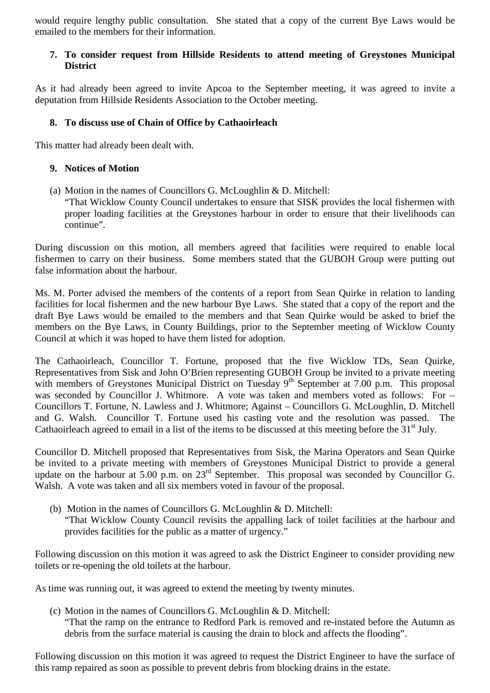would require lengthy public consultation. She stated that a copy of the current Bye Laws would be emailed to the members for their information.

### **7. To consider request from Hillside Residents to attend meeting of Greystones Municipal District**

As it had already been agreed to invite Apcoa to the September meeting, it was agreed to invite a deputation from Hillside Residents Association to the October meeting.

#### **8. To discuss use of Chain of Office by Cathaoirleach**

This matter had already been dealt with.

#### **9. Notices of Motion**

(a) Motion in the names of Councillors G. McLoughlin & D. Mitchell:

"That Wicklow County Council undertakes to ensure that SISK provides the local fishermen with proper loading facilities at the Greystones harbour in order to ensure that their livelihoods can continue".

During discussion on this motion, all members agreed that facilities were required to enable local fishermen to carry on their business. Some members stated that the GUBOH Group were putting out false information about the harbour.

Ms. M. Porter advised the members of the contents of a report from Sean Quirke in relation to landing facilities for local fishermen and the new harbour Bye Laws. She stated that a copy of the report and the draft Bye Laws would be emailed to the members and that Sean Quirke would be asked to brief the members on the Bye Laws, in County Buildings, prior to the September meeting of Wicklow County Council at which it was hoped to have them listed for adoption.

The Cathaoirleach, Councillor T. Fortune, proposed that the five Wicklow TDs, Sean Quirke, Representatives from Sisk and John O'Brien representing GUBOH Group be invited to a private meeting with members of Greystones Municipal District on Tuesday 9<sup>th</sup> September at 7.00 p.m. This proposal was seconded by Councillor J. Whitmore. A vote was taken and members voted as follows: For – Councillors T. Fortune, N. Lawless and J. Whitmore; Against – Councillors G. McLoughlin, D. Mitchell and G. Walsh. Councillor T. Fortune used his casting vote and the resolution was passed. The Cathaoirleach agreed to email in a list of the items to be discussed at this meeting before the 31<sup>st</sup> July.

Councillor D. Mitchell proposed that Representatives from Sisk, the Marina Operators and Sean Quirke be invited to a private meeting with members of Greystones Municipal District to provide a general update on the harbour at 5.00 p.m. on 23<sup>rd</sup> September. This proposal was seconded by Councillor G. Walsh. A vote was taken and all six members voted in favour of the proposal.

(b) Motion in the names of Councillors G. McLoughlin & D. Mitchell: "That Wicklow County Council revisits the appalling lack of toilet facilities at the harbour and provides facilities for the public as a matter of urgency."

Following discussion on this motion it was agreed to ask the District Engineer to consider providing new toilets or re-opening the old toilets at the harbour.

As time was running out, it was agreed to extend the meeting by twenty minutes.

(c) Motion in the names of Councillors G. McLoughlin & D. Mitchell:

"That the ramp on the entrance to Redford Park is removed and re-instated before the Autumn as debris from the surface material is causing the drain to block and affects the flooding".

Following discussion on this motion it was agreed to request the District Engineer to have the surface of this ramp repaired as soon as possible to prevent debris from blocking drains in the estate.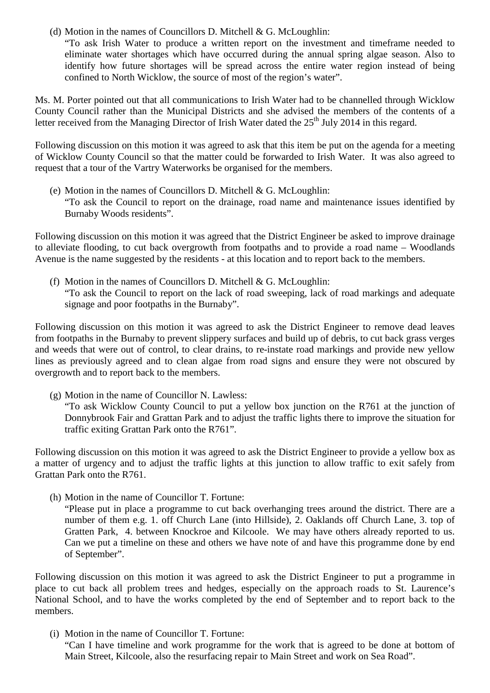(d) Motion in the names of Councillors D. Mitchell  $& G.$  McLoughlin:

"To ask Irish Water to produce a written report on the investment and timeframe needed to eliminate water shortages which have occurred during the annual spring algae season. Also to identify how future shortages will be spread across the entire water region instead of being confined to North Wicklow, the source of most of the region's water".

Ms. M. Porter pointed out that all communications to Irish Water had to be channelled through Wicklow County Council rather than the Municipal Districts and she advised the members of the contents of a letter received from the Managing Director of Irish Water dated the  $25<sup>th</sup>$  July 2014 in this regard.

Following discussion on this motion it was agreed to ask that this item be put on the agenda for a meeting of Wicklow County Council so that the matter could be forwarded to Irish Water. It was also agreed to request that a tour of the Vartry Waterworks be organised for the members.

(e) Motion in the names of Councillors D. Mitchell & G. McLoughlin: "To ask the Council to report on the drainage, road name and maintenance issues identified by Burnaby Woods residents".

Following discussion on this motion it was agreed that the District Engineer be asked to improve drainage to alleviate flooding, to cut back overgrowth from footpaths and to provide a road name – Woodlands Avenue is the name suggested by the residents - at this location and to report back to the members.

(f) Motion in the names of Councillors D. Mitchell  $& G.$  McLoughlin: "To ask the Council to report on the lack of road sweeping, lack of road markings and adequate signage and poor footpaths in the Burnaby".

Following discussion on this motion it was agreed to ask the District Engineer to remove dead leaves from footpaths in the Burnaby to prevent slippery surfaces and build up of debris, to cut back grass verges and weeds that were out of control, to clear drains, to re-instate road markings and provide new yellow lines as previously agreed and to clean algae from road signs and ensure they were not obscured by overgrowth and to report back to the members.

(g) Motion in the name of Councillor N. Lawless:

"To ask Wicklow County Council to put a yellow box junction on the R761 at the junction of Donnybrook Fair and Grattan Park and to adjust the traffic lights there to improve the situation for traffic exiting Grattan Park onto the R761".

Following discussion on this motion it was agreed to ask the District Engineer to provide a yellow box as a matter of urgency and to adjust the traffic lights at this junction to allow traffic to exit safely from Grattan Park onto the R761.

(h) Motion in the name of Councillor T. Fortune:

"Please put in place a programme to cut back overhanging trees around the district. There are a number of them e.g. 1. off Church Lane (into Hillside), 2. Oaklands off Church Lane, 3. top of Gratten Park, 4. between Knockroe and Kilcoole. We may have others already reported to us. Can we put a timeline on these and others we have note of and have this programme done by end of September".

Following discussion on this motion it was agreed to ask the District Engineer to put a programme in place to cut back all problem trees and hedges, especially on the approach roads to St. Laurence's National School, and to have the works completed by the end of September and to report back to the members.

(i) Motion in the name of Councillor T. Fortune: "Can I have timeline and work programme for the work that is agreed to be done at bottom of Main Street, Kilcoole, also the resurfacing repair to Main Street and work on Sea Road".